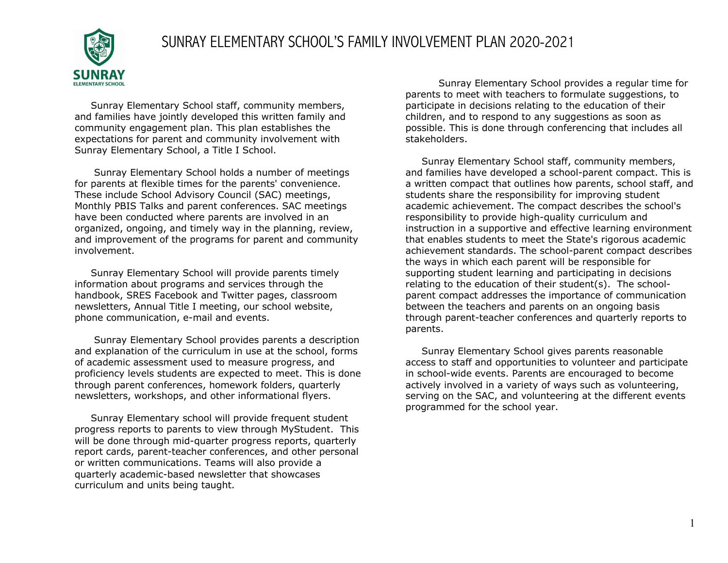## SUNRAY ELEMENTARY SCHOOL'S FAMILY INVOLVEMENT PLAN 2020-2021



 Sunray Elementary School staff, community members, and families have jointly developed this written family and community engagement plan. This plan establishes the expectations for parent and community involvement with Sunray Elementary School, a Title I School.

 Sunray Elementary School holds a number of meetings for parents at flexible times for the parents' convenience. These include School Advisory Council (SAC) meetings, Monthly PBIS Talks and parent conferences. SAC meetings have been conducted where parents are involved in an organized, ongoing, and timely way in the planning, review, and improvement of the programs for parent and community involvement.

 Sunray Elementary School will provide parents timely information about programs and services through the handbook, SRES Facebook and Twitter pages, classroom newsletters, Annual Title I meeting, our school website, phone communication, e-mail and events.

 Sunray Elementary School provides parents a description and explanation of the curriculum in use at the school, forms of academic assessment used to measure progress, and proficiency levels students are expected to meet. This is done through parent conferences, homework folders, quarterly newsletters, workshops, and other informational flyers.

 Sunray Elementary school will provide frequent student progress reports to parents to view through MyStudent. This will be done through mid-quarter progress reports, quarterly report cards, parent-teacher conferences, and other personal or written communications. Teams will also provide a quarterly academic-based newsletter that showcases curriculum and units being taught.

Sunray Elementary School provides a regular time for parents to meet with teachers to formulate suggestions, to participate in decisions relating to the education of their children, and to respond to any suggestions as soon as possible. This is done through conferencing that includes all stakeholders.

 Sunray Elementary School staff, community members, and families have developed a school-parent compact. This is a written compact that outlines how parents, school staff, and students share the responsibility for improving student academic achievement. The compact describes the school's responsibility to provide high-quality curriculum and instruction in a supportive and effective learning environment that enables students to meet the State's rigorous academic achievement standards. The school-parent compact describes the ways in which each parent will be responsible for supporting student learning and participating in decisions relating to the education of their student(s). The schoolparent compact addresses the importance of communication between the teachers and parents on an ongoing basis through parent-teacher conferences and quarterly reports to parents.

 Sunray Elementary School gives parents reasonable access to staff and opportunities to volunteer and participate in school-wide events. Parents are encouraged to become actively involved in a variety of ways such as volunteering, serving on the SAC, and volunteering at the different events programmed for the school year.